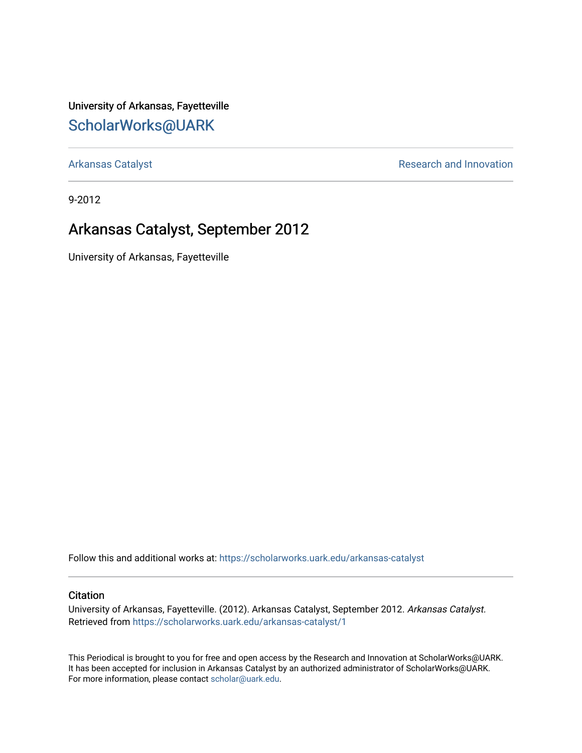University of Arkansas, Fayetteville [ScholarWorks@UARK](https://scholarworks.uark.edu/) 

[Arkansas Catalyst](https://scholarworks.uark.edu/arkansas-catalyst) **Research and Innovation** 

9-2012

## Arkansas Catalyst, September 2012

University of Arkansas, Fayetteville

Follow this and additional works at: [https://scholarworks.uark.edu/arkansas-catalyst](https://scholarworks.uark.edu/arkansas-catalyst?utm_source=scholarworks.uark.edu%2Farkansas-catalyst%2F1&utm_medium=PDF&utm_campaign=PDFCoverPages) 

#### **Citation**

University of Arkansas, Fayetteville. (2012). Arkansas Catalyst, September 2012. Arkansas Catalyst. Retrieved from [https://scholarworks.uark.edu/arkansas-catalyst/1](https://scholarworks.uark.edu/arkansas-catalyst/1?utm_source=scholarworks.uark.edu%2Farkansas-catalyst%2F1&utm_medium=PDF&utm_campaign=PDFCoverPages) 

This Periodical is brought to you for free and open access by the Research and Innovation at ScholarWorks@UARK. It has been accepted for inclusion in Arkansas Catalyst by an authorized administrator of ScholarWorks@UARK. For more information, please contact [scholar@uark.edu](mailto:scholar@uark.edu).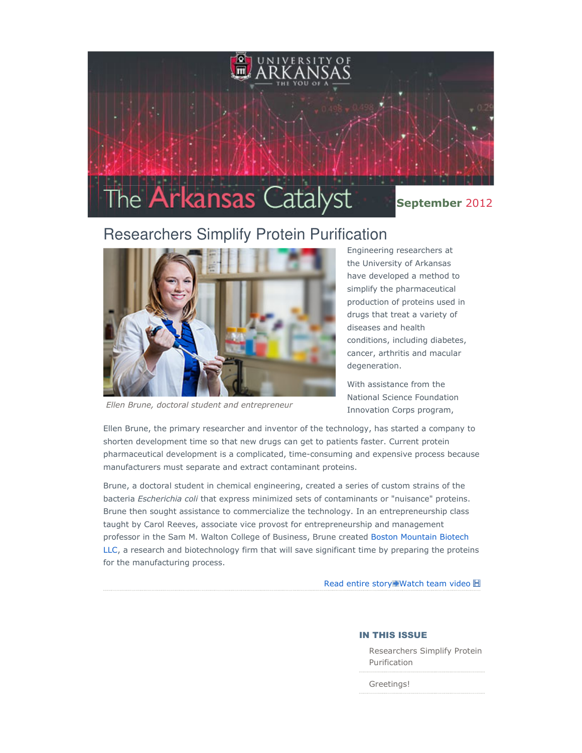

# Researchers Simplify Protein Purification



Ellen Brune, doctoral student and entrepreneur

Engineering researchers at the University of Arkansas have developed a method to simplify the pharmaceutical production of proteins used in drugs that treat a variety of diseases and health conditions, including diabetes, cancer, arthritis and macular degeneration.

With assistance from the National Science Foundation Innovation Corps program,

Ellen Brune, the primary researcher and inventor of the technology, has started a company to shorten development time so that new drugs can get to patients faster. Current protein pharmaceutical development is a complicated, time-consuming and expensive process because manufacturers must separate and extract contaminant proteins.

Brune, a doctoral student in chemical engineering, created a series of custom strains of the bacteria Escherichia coli that express minimized sets of contaminants or "nuisance" proteins. Brune then sought assistance to commercialize the technology. In an entrepreneurship class taught by Carol Reeves, associate vice provost for entrepreneurship and management professor in the Sam M. Walton College of Business, Brune created Boston Mountain Biotech LLC, a research and biotechnology firm that will save significant time by preparing the proteins for the manufacturing process.

Read entire story Watch team video **H** 

#### IN THIS ISSUE

Researchers Simplify Protein Purification

Greetings!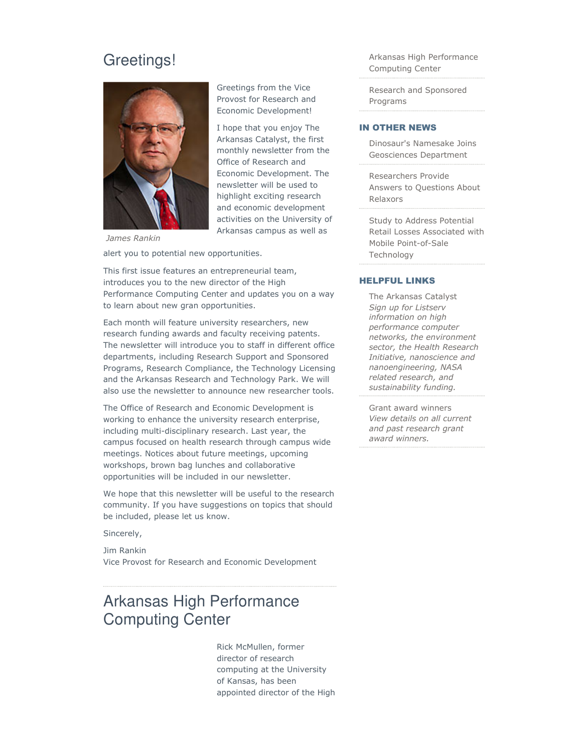## Greetings!



Greetings from the Vice Provost for Research and Economic Development!

I hope that you enjoy The Arkansas Catalyst, the first monthly newsletter from the Office of Research and Economic Development. The newsletter will be used to highlight exciting research and economic development activities on the University of Arkansas campus as well as

James Rankin alert you to potential new opportunities.

This first issue features an entrepreneurial team, introduces you to the new director of the High Performance Computing Center and updates you on a way to learn about new gran opportunities.

Each month will feature university researchers, new research funding awards and faculty receiving patents. The newsletter will introduce you to staff in different office departments, including Research Support and Sponsored Programs, Research Compliance, the Technology Licensing and the Arkansas Research and Technology Park. We will also use the newsletter to announce new researcher tools.

The Office of Research and Economic Development is working to enhance the university research enterprise, including multi-disciplinary research. Last year, the campus focused on health research through campus wide meetings. Notices about future meetings, upcoming workshops, brown bag lunches and collaborative opportunities will be included in our newsletter.

We hope that this newsletter will be useful to the research community. If you have suggestions on topics that should be included, please let us know.

Sincerely,

Jim Rankin Vice Provost for Research and Economic Development

# Arkansas High Performance Computing Center

Rick McMullen, former director of research computing at the University of Kansas, has been appointed director of the High Arkansas High Performance Computing Center

Research and Sponsored Programs

#### IN OTHER NEWS

Dinosaur's Namesake Joins Geosciences Department

Researchers Provide Answers to Questions About Relaxors

Study to Address Potential Retail Losses Associated with Mobile Point-of-Sale Technology

#### HELPFUL LINKS

The Arkansas Catalyst Sign up for Listserv information on high performance computer networks, the environment sector, the Health Research Initiative, nanoscience and nanoengineering, NASA related research, and sustainability funding.

Grant award winners View details on all current and past research grant award winners.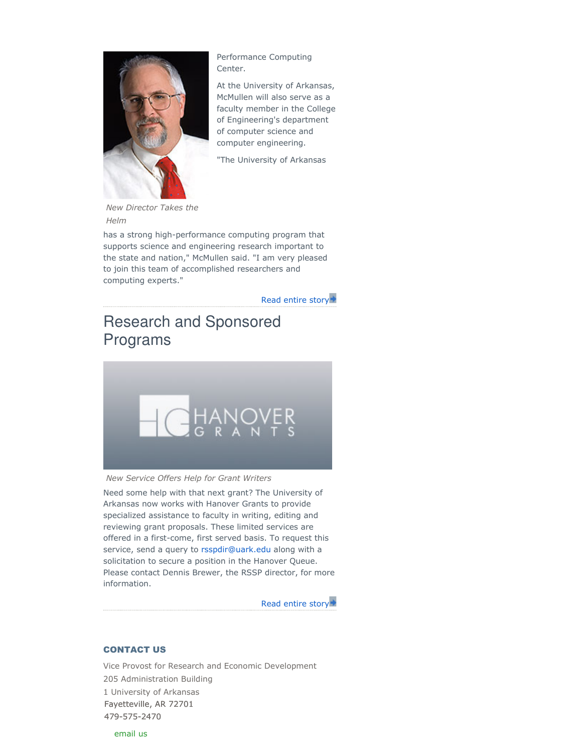

Performance Computing Center.

At the University of Arkansas, McMullen will also serve as a faculty member in the College of Engineering's department of computer science and computer engineering.

"The University of Arkansas

New Director Takes the Helm

has a strong high-performance computing program that supports science and engineering research important to the state and nation," McMullen said. "I am very pleased to join this team of accomplished researchers and computing experts."

Read entire story

# Research and Sponsored Programs



#### New Service Offers Help for Grant Writers

Need some help with that next grant? The University of Arkansas now works with Hanover Grants to provide specialized assistance to faculty in writing, editing and reviewing grant proposals. These limited services are offered in a first-come, first served basis. To request this service, send a query to rsspdir@uark.edu along with a solicitation to secure a position in the Hanover Queue. Please contact Dennis Brewer, the RSSP director, for more information.

Read entire story

#### CONTACT US

Vice Provost for Research and Economic Development 205 Administration Building 1 University of Arkansas Fayetteville, AR 72701 479-575-2470 email us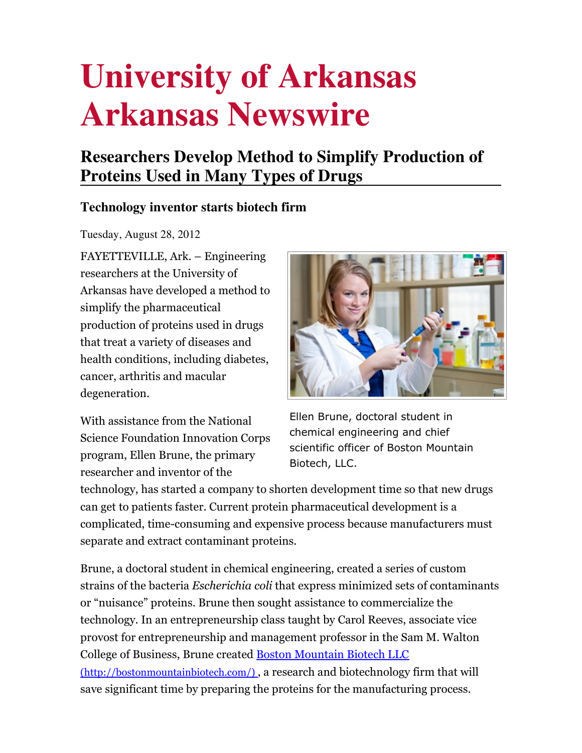# **University of Arkansas Arkansas Newswire**

# **Researchers Develop Method to Simplify Production of Proteins Used in Many Types of Drugs**

## **Technology inventor starts biotech firm**

Tuesday, August 28, 2012

FAYETTEVILLE, Ark. – Engineering researchers at the University of Arkansas have developed a method to simplify the pharmaceutical production of proteins used in drugs that treat a variety of diseases and health conditions, including diabetes, cancer, arthritis and macular degeneration.

With assistance from the National Science Foundation Innovation Corps program, Ellen Brune, the primary researcher and inventor of the

Ellen Brune, doctoral student in chemical engineering and chief scientific officer of Boston Mountain Biotech, LLC.

technology, has started a company to shorten development time so that new drugs can get to patients faster. Current protein pharmaceutical development is a complicated, time-consuming and expensive process because manufacturers must separate and extract contaminant proteins.

Brune, a doctoral student in chemical engineering, created a series of custom strains of the bacteria Escherichia coli that express minimized sets of contaminants or "nuisance" proteins. Brune then sought assistance to commercialize the technology. In an entrepreneurship class taught by Carol Reeves, associate vice provost for entrepreneurship and management professor in the Sam M. Walton College of Business, Brune created Boston Mountain Biotech LLC (http://bostonmountainbiotech.com/) , a research and biotechnology firm that will save significant time by preparing the proteins for the manufacturing process.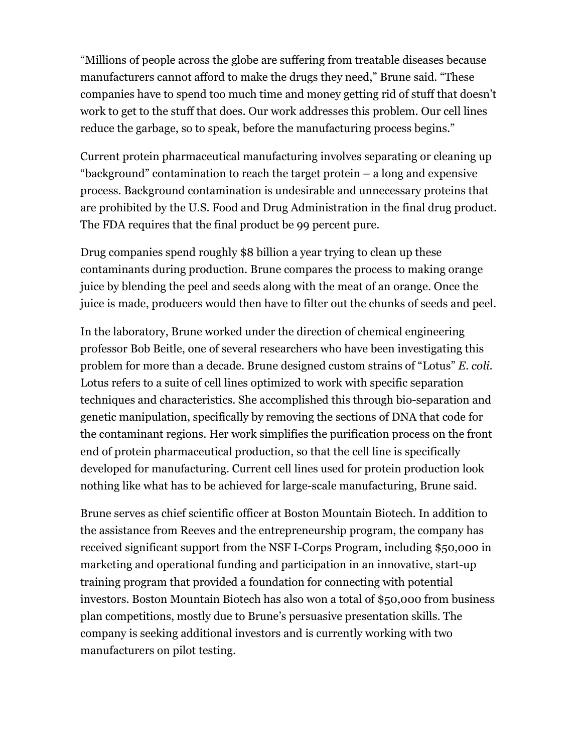"Millions of people across the globe are suffering from treatable diseases because manufacturers cannot afford to make the drugs they need," Brune said. "These companies have to spend too much time and money getting rid of stuff that doesn't work to get to the stuff that does. Our work addresses this problem. Our cell lines reduce the garbage, so to speak, before the manufacturing process begins."

Current protein pharmaceutical manufacturing involves separating or cleaning up "background" contamination to reach the target protein – a long and expensive process. Background contamination is undesirable and unnecessary proteins that are prohibited by the U.S. Food and Drug Administration in the final drug product. The FDA requires that the final product be 99 percent pure.

Drug companies spend roughly \$8 billion a year trying to clean up these contaminants during production. Brune compares the process to making orange juice by blending the peel and seeds along with the meat of an orange. Once the juice is made, producers would then have to filter out the chunks of seeds and peel.

In the laboratory, Brune worked under the direction of chemical engineering professor Bob Beitle, one of several researchers who have been investigating this problem for more than a decade. Brune designed custom strains of "Lotus" E. coli. Lotus refers to a suite of cell lines optimized to work with specific separation techniques and characteristics. She accomplished this through bio-separation and genetic manipulation, specifically by removing the sections of DNA that code for the contaminant regions. Her work simplifies the purification process on the front end of protein pharmaceutical production, so that the cell line is specifically developed for manufacturing. Current cell lines used for protein production look nothing like what has to be achieved for large-scale manufacturing, Brune said.

Brune serves as chief scientific officer at Boston Mountain Biotech. In addition to the assistance from Reeves and the entrepreneurship program, the company has received significant support from the NSF I-Corps Program, including \$50,000 in marketing and operational funding and participation in an innovative, start-up training program that provided a foundation for connecting with potential investors. Boston Mountain Biotech has also won a total of \$50,000 from business plan competitions, mostly due to Brune's persuasive presentation skills. The company is seeking additional investors and is currently working with two manufacturers on pilot testing.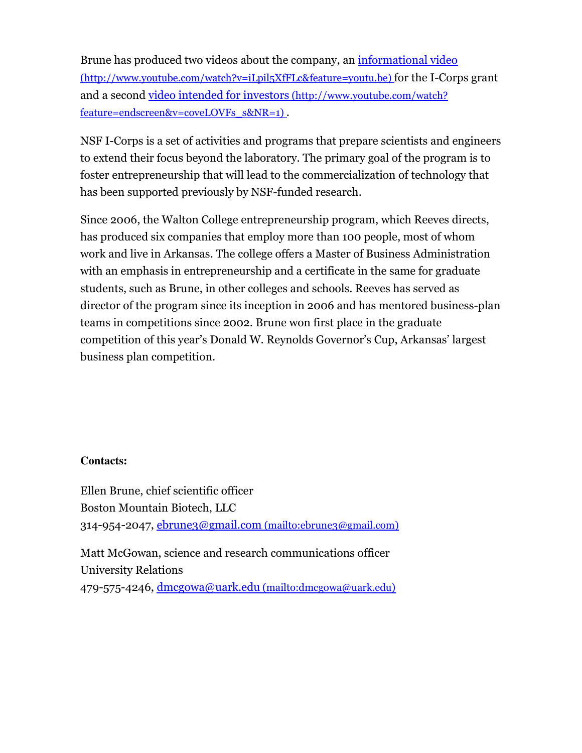Brune has produced two videos about the company, an informational video (http://www.youtube.com/watch?v=iLpil5XfFLc&feature=youtu.be) for the I-Corps grant and a second video intended for investors (http://www.youtube.com/watch? feature=endscreen&v=coveLOVFs\_s&NR=1) .

NSF I-Corps is a set of activities and programs that prepare scientists and engineers to extend their focus beyond the laboratory. The primary goal of the program is to foster entrepreneurship that will lead to the commercialization of technology that has been supported previously by NSF-funded research.

Since 2006, the Walton College entrepreneurship program, which Reeves directs, has produced six companies that employ more than 100 people, most of whom work and live in Arkansas. The college offers a Master of Business Administration with an emphasis in entrepreneurship and a certificate in the same for graduate students, such as Brune, in other colleges and schools. Reeves has served as director of the program since its inception in 2006 and has mentored business-plan teams in competitions since 2002. Brune won first place in the graduate competition of this year's Donald W. Reynolds Governor's Cup, Arkansas' largest business plan competition.

### **Contacts:**

Ellen Brune, chief scientific officer Boston Mountain Biotech, LLC 314-954-2047, ebrune3@gmail.com (mailto:ebrune3@gmail.com) Matt McGowan, science and research communications officer University Relations

479-575-4246, dmcgowa@uark.edu (mailto:dmcgowa@uark.edu)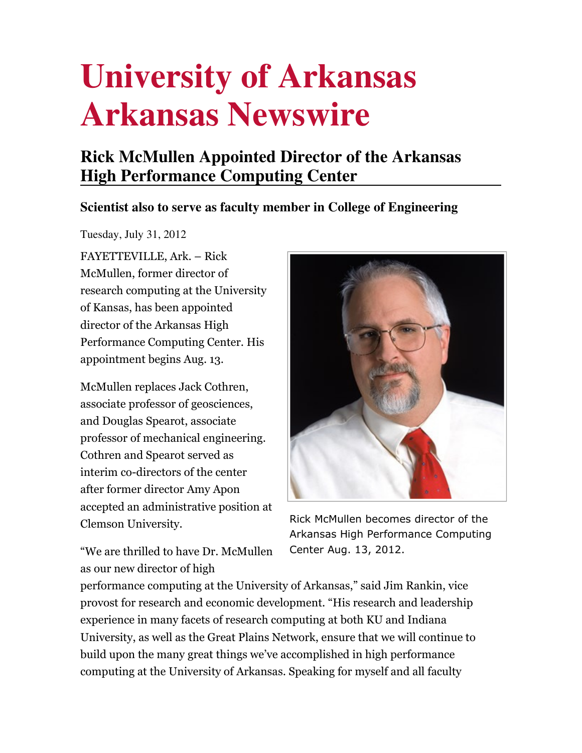# **University of Arkansas Arkansas Newswire**

# **Rick McMullen Appointed Director of the Arkansas High Performance Computing Center**

## **Scientist also to serve as faculty member in College of Engineering**

Tuesday, July 31, 2012

FAYETTEVILLE, Ark. – Rick McMullen, former director of research computing at the University of Kansas, has been appointed director of the Arkansas High Performance Computing Center. His appointment begins Aug. 13.

McMullen replaces Jack Cothren, associate professor of geosciences, and Douglas Spearot, associate professor of mechanical engineering. Cothren and Spearot served as interim co-directors of the center after former director Amy Apon accepted an administrative position at Clemson University.

Rick McMullen becomes director of the Arkansas High Performance Computing Center Aug. 13, 2012.

"We are thrilled to have Dr. McMullen as our new director of high

performance computing at the University of Arkansas," said Jim Rankin, vice provost for research and economic development. "His research and leadership experience in many facets of research computing at both KU and Indiana University, as well as the Great Plains Network, ensure that we will continue to build upon the many great things we've accomplished in high performance computing at the University of Arkansas. Speaking for myself and all faculty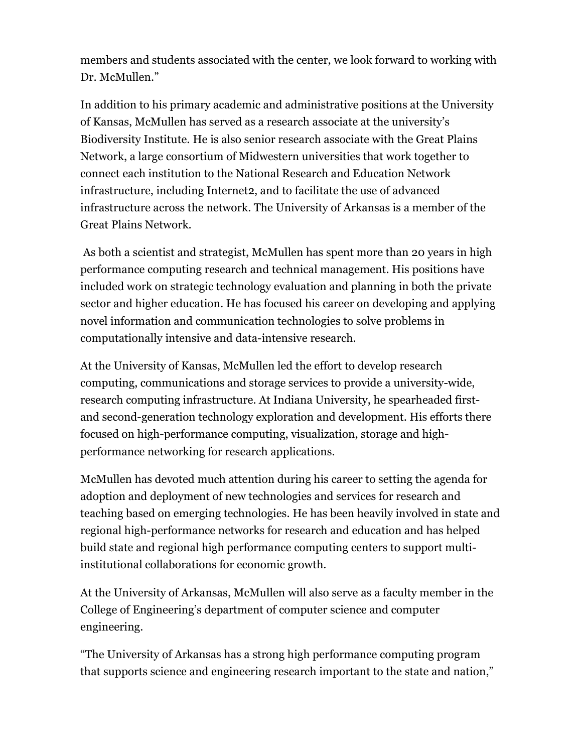members and students associated with the center, we look forward to working with Dr. McMullen."

In addition to his primary academic and administrative positions at the University of Kansas, McMullen has served as a research associate at the university's Biodiversity Institute. He is also senior research associate with the Great Plains Network, a large consortium of Midwestern universities that work together to connect each institution to the National Research and Education Network infrastructure, including Internet2, and to facilitate the use of advanced infrastructure across the network. The University of Arkansas is a member of the Great Plains Network.

 As both a scientist and strategist, McMullen has spent more than 20 years in high performance computing research and technical management. His positions have included work on strategic technology evaluation and planning in both the private sector and higher education. He has focused his career on developing and applying novel information and communication technologies to solve problems in computationally intensive and data-intensive research.

At the University of Kansas, McMullen led the effort to develop research computing, communications and storage services to provide a university-wide, research computing infrastructure. At Indiana University, he spearheaded firstand second-generation technology exploration and development. His efforts there focused on high-performance computing, visualization, storage and highperformance networking for research applications.

McMullen has devoted much attention during his career to setting the agenda for adoption and deployment of new technologies and services for research and teaching based on emerging technologies. He has been heavily involved in state and regional high-performance networks for research and education and has helped build state and regional high performance computing centers to support multiinstitutional collaborations for economic growth.

At the University of Arkansas, McMullen will also serve as a faculty member in the College of Engineering's department of computer science and computer engineering.

"The University of Arkansas has a strong high performance computing program that supports science and engineering research important to the state and nation,"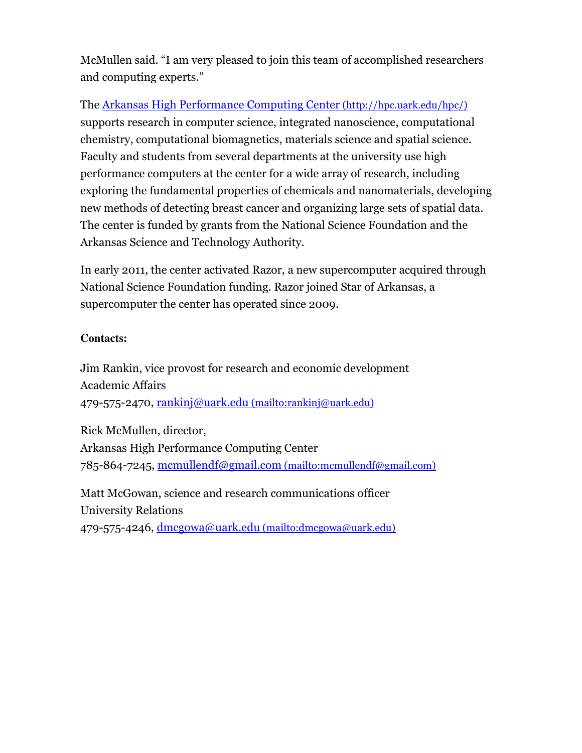McMullen said. "I am very pleased to join this team of accomplished researchers and computing experts."

The Arkansas High Performance Computing Center (http://hpc.uark.edu/hpc/) supports research in computer science, integrated nanoscience, computational chemistry, computational biomagnetics, materials science and spatial science. Faculty and students from several departments at the university use high performance computers at the center for a wide array of research, including exploring the fundamental properties of chemicals and nanomaterials, developing new methods of detecting breast cancer and organizing large sets of spatial data. The center is funded by grants from the National Science Foundation and the Arkansas Science and Technology Authority.

In early 2011, the center activated Razor, a new supercomputer acquired through National Science Foundation funding. Razor joined Star of Arkansas, a supercomputer the center has operated since 2009.

### **Contacts:**

Jim Rankin, vice provost for research and economic development Academic Affairs 479-575-2470, rankinj@uark.edu (mailto:rankinj@uark.edu)

Rick McMullen, director, Arkansas High Performance Computing Center 785-864-7245, mcmullendf@gmail.com (mailto:mcmullendf@gmail.com)

Matt McGowan, science and research communications officer University Relations 479-575-4246, dmcgowa@uark.edu (mailto:dmcgowa@uark.edu)